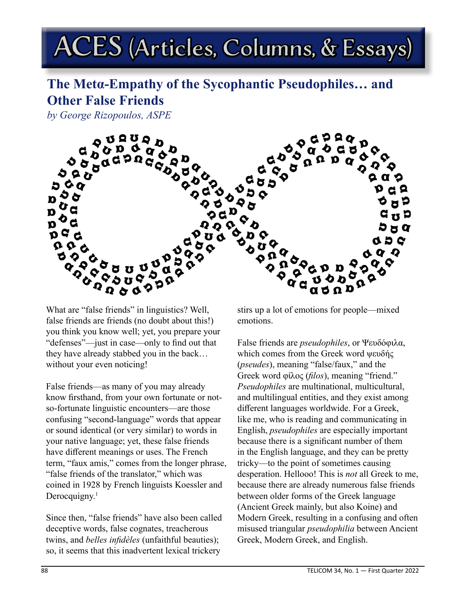## ACES (Articles, Columns, & Essays)

## **The Metα-Empathy of the Sycophantic Pseudophiles… and Other False Friends**

*by George Rizopoulos, ASPE*



What are "false friends" in linguistics? Well, false friends are friends (no doubt about this!) you think you know well; yet, you prepare your "defenses"—just in case—only to find out that they have already stabbed you in the back… without your even noticing!

False friends—as many of you may already know firsthand, from your own fortunate or notso-fortunate linguistic encounters—are those confusing "second-language" words that appear or sound identical (or very similar) to words in your native language; yet, these false friends have different meanings or uses. The French term, "faux amis," comes from the longer phrase, "false friends of the translator," which was coined in 1928 by French linguists Koessler and Derocquigny.<sup>1</sup>

Since then, "false friends" have also been called deceptive words, false cognates, treacherous twins, and *belles infidèles* (unfaithful beauties); so, it seems that this inadvertent lexical trickery

stirs up a lot of emotions for people—mixed emotions.

False friends are *pseudophiles*, or Ψευδόφιλα, which comes from the Greek word ψευδής (*pseudes*), meaning "false/faux," and the Greek word φίλος (*filos*), meaning "friend." *Pseudophiles* are multinational, multicultural, and multilingual entities, and they exist among different languages worldwide. For a Greek, like me, who is reading and communicating in English, *pseudophiles* are especially important because there is a significant number of them in the English language, and they can be pretty tricky—to the point of sometimes causing desperation. Hellooo! This is *not* all Greek to me, because there are already numerous false friends between older forms of the Greek language (Ancient Greek mainly, but also Koine) and Modern Greek, resulting in a confusing and often misused triangular *pseudophilia* between Ancient Greek, Modern Greek, and English.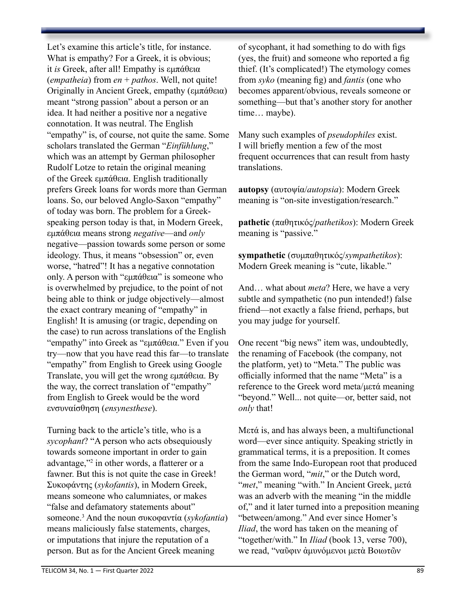Let's examine this article's title, for instance. What is empathy? For a Greek, it is obvious; it *is* Greek, after all! Empathy is εμπάθεια (*empatheia*) from *en* + *pathos*. Well, not quite! Originally in Ancient Greek, empathy (εμπάθεια) meant "strong passion" about a person or an idea. It had neither a positive nor a negative connotation. It was neutral. The English "empathy" is, of course, not quite the same. Some scholars translated the German "*Einfühlung*," which was an attempt by German philosopher Rudolf Lotze to retain the original meaning of the Greek εμπάθεια. English traditionally prefers Greek loans for words more than German loans. So, our beloved Anglo-Saxon "empathy" of today was born. The problem for a Greekspeaking person today is that, in Modern Greek, εμπάθεια means strong *negative*—and *only* negative—passion towards some person or some ideology. Thus, it means "obsession" or, even worse, "hatred"! It has a negative connotation only. A person with "εμπάθεια" is someone who is overwhelmed by prejudice, to the point of not being able to think or judge objectively—almost the exact contrary meaning of "empathy" in English! It is amusing (or tragic, depending on the case) to run across translations of the English "empathy" into Greek as "εμπάθεια." Even if you try—now that you have read this far—to translate "empathy" from English to Greek using Google Translate, you will get the wrong εμπάθεια. By the way, the correct translation of "empathy" from English to Greek would be the word ενσυναίσθηση (*ensynesthese*). Turning back to the article's title, who is a

*sycophant*? "A person who acts obsequiously towards someone important in order to gain advantage,"2 in other words, a flatterer or a fawner. But this is not quite the case in Greek! Συκοφάντης (*sykofantis*), in Modern Greek, means someone who calumniates, or makes "false and defamatory statements about" someone.<sup>3</sup> And the noun συκοφαντία (*sykofantia*) means maliciously false statements, charges, or imputations that injure the reputation of a person. But as for the Ancient Greek meaning

of sycophant, it had something to do with figs (yes, the fruit) and someone who reported a fig thief. (It's complicated!) The etymology comes from *syko* (meaning fig) and *fantis* (one who becomes apparent/obvious, reveals someone or something—but that's another story for another time… maybe).

Many such examples of *pseudophiles* exist. I will briefly mention a few of the most frequent occurrences that can result from hasty translations.

**autopsy** (αυτοψία/*autopsia*): Modern Greek meaning is "on-site investigation/research."

**pathetic** (παθητικός/*pathetikos*): Modern Greek meaning is "passive."

**sympathetic** (συμπαθητικός/*sympathetikos*): Modern Greek meaning is "cute, likable."

And… what about *meta*? Here, we have a very subtle and sympathetic (no pun intended!) false friend—not exactly a false friend, perhaps, but you may judge for yourself.

One recent "big news" item was, undoubtedly, the renaming of Facebook (the company, not the platform, yet) to "Meta." The public was officially informed that the name "Meta" is a reference to the Greek word meta/μετά meaning "beyond." Well... not quite—or, better said, not *only* that!

Mετά is, and has always been, a multifunctional word—ever since antiquity. Speaking strictly in grammatical terms, it is a preposition. It comes from the same Indo-European root that produced the German word, "*mit*," or the Dutch word, "*met*," meaning "with." In Ancient Greek, μετά was an adverb with the meaning "in the middle of," and it later turned into a preposition meaning "between/among." And ever since Homer's *Iliad*, the word has taken on the meaning of "together/with." In *Iliad* (book 13, verse 700), we read, "ναῦφιν ἀμυνόμενοι μετὰ Βοιωτῶν